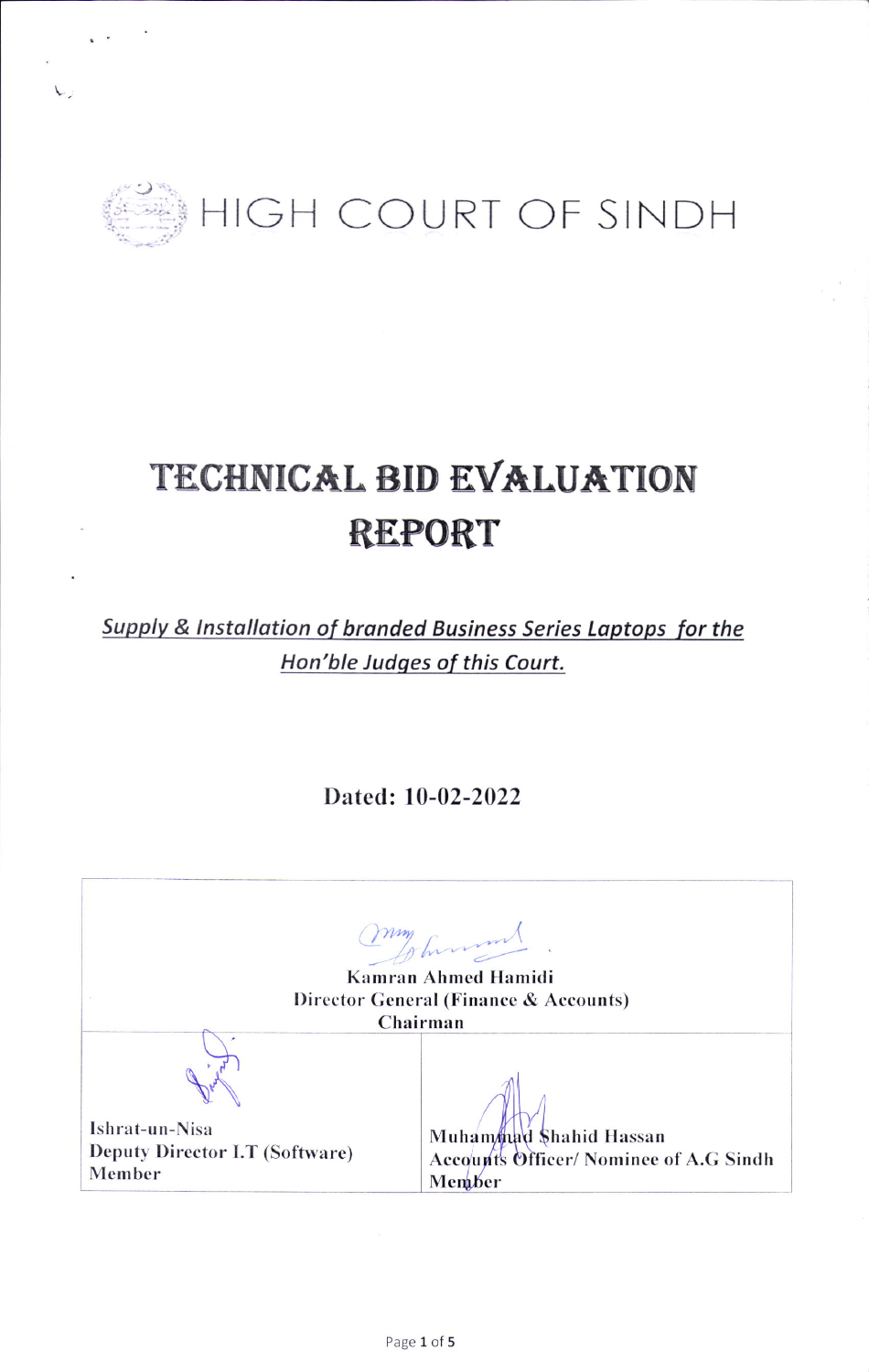

L,

## TECHNICAL BID EVALUATION **REPORT**

Supply & Installation of branded Business Series Laptops for the Hon'ble Judges of this Court.

Dated: 10-02-2022

| my funny<br>Kamran Ahmed Hamidi<br>Director General (Finance & Accounts)<br>Chairman |                                              |  |
|--------------------------------------------------------------------------------------|----------------------------------------------|--|
| Ishrat-un-Nisa                                                                       | Muhammad Shahid Hassan                       |  |
| Deputy Director I.T (Software)                                                       | <b>Accounts Officer/Nominee of A.G Sindh</b> |  |
| Member                                                                               | Member                                       |  |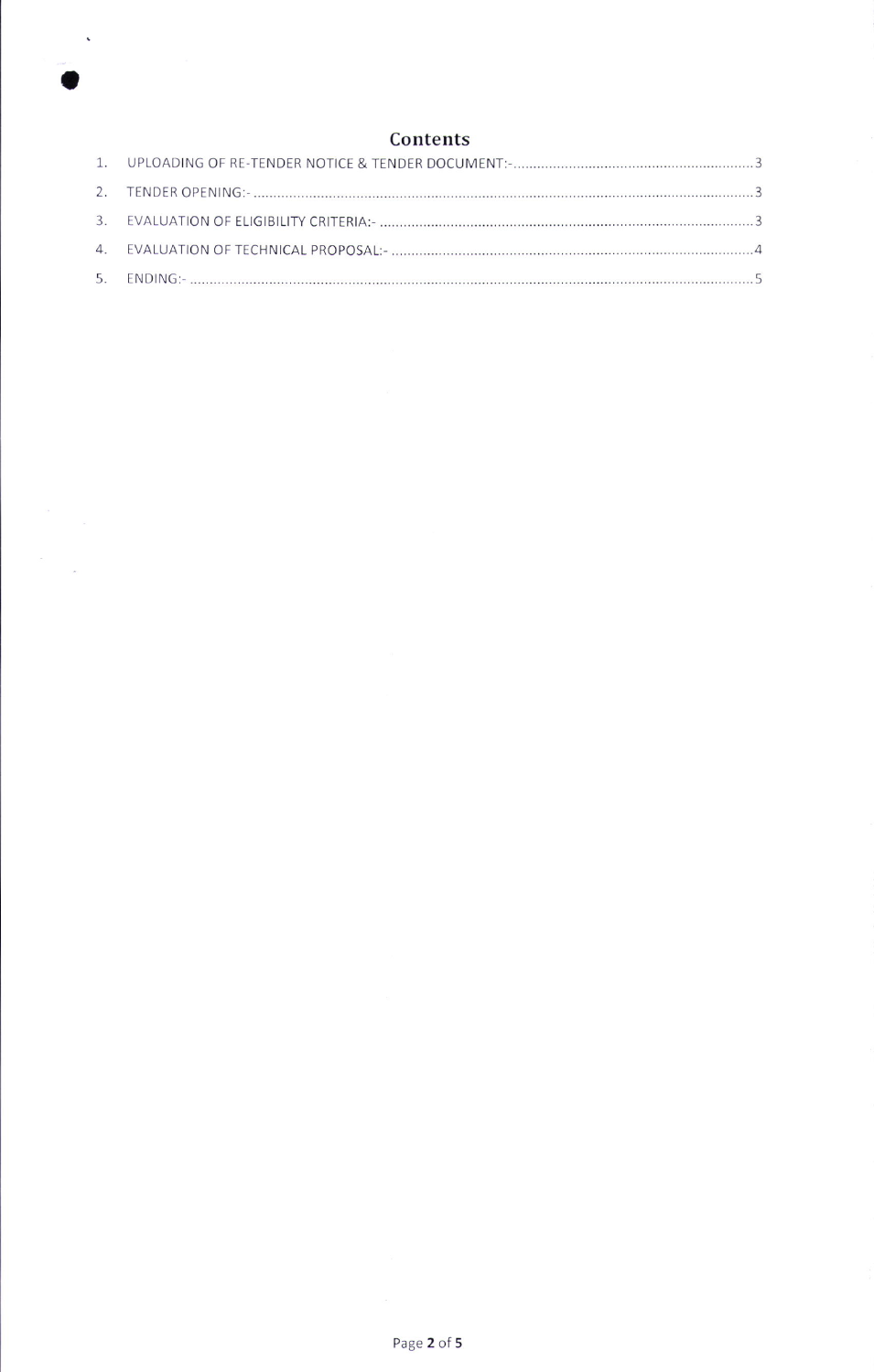

 $\label{eq:2.1} \begin{array}{ccccc} \mathcal{E} & & & \\ & \mathcal{E} & & \\ & & \mathcal{E} & \\ & & & \mathcal{E} \end{array}$ 

 $\ddot{\phantom{1}}$ 

## Contents